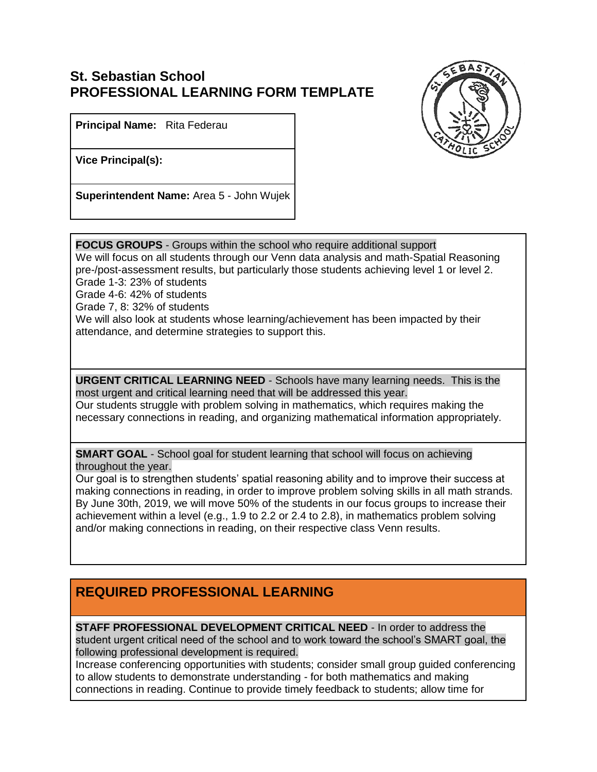## **St. Sebastian School PROFESSIONAL LEARNING FORM TEMPLATE**



**Principal Name:** Rita Federau

**Vice Principal(s):**

**Superintendent Name:** Area 5 - John Wujek

**FOCUS GROUPS** - Groups within the school who require additional support

We will focus on all students through our Venn data analysis and math-Spatial Reasoning pre-/post-assessment results, but particularly those students achieving level 1 or level 2. Grade 1-3: 23% of students

Grade 4-6: 42% of students

Grade 7, 8: 32% of students

We will also look at students whose learning/achievement has been impacted by their attendance, and determine strategies to support this.

**URGENT CRITICAL LEARNING NEED** - Schools have many learning needs. This is the most urgent and critical learning need that will be addressed this year.

Our students struggle with problem solving in mathematics, which requires making the necessary connections in reading, and organizing mathematical information appropriately.

**SMART GOAL** - School goal for student learning that school will focus on achieving throughout the year.

Our goal is to strengthen students' spatial reasoning ability and to improve their success at making connections in reading, in order to improve problem solving skills in all math strands. By June 30th, 2019, we will move 50% of the students in our focus groups to increase their achievement within a level (e.g., 1.9 to 2.2 or 2.4 to 2.8), in mathematics problem solving and/or making connections in reading, on their respective class Venn results.

## **REQUIRED PROFESSIONAL LEARNING**

**STAFF PROFESSIONAL DEVELOPMENT CRITICAL NEED** - In order to address the student urgent critical need of the school and to work toward the school's SMART goal, the following professional development is required.

Increase conferencing opportunities with students; consider small group guided conferencing to allow students to demonstrate understanding - for both mathematics and making connections in reading. Continue to provide timely feedback to students; allow time for